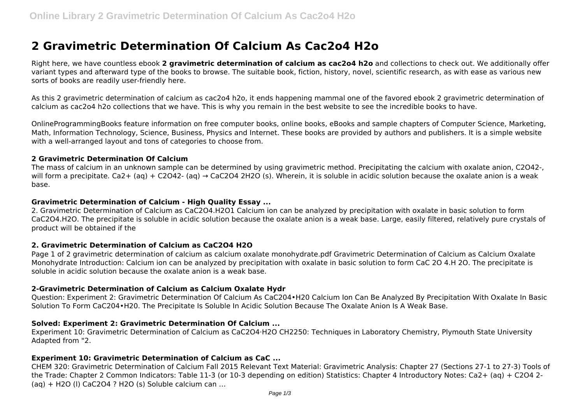# **2 Gravimetric Determination Of Calcium As Cac2o4 H2o**

Right here, we have countless ebook **2 gravimetric determination of calcium as cac2o4 h2o** and collections to check out. We additionally offer variant types and afterward type of the books to browse. The suitable book, fiction, history, novel, scientific research, as with ease as various new sorts of books are readily user-friendly here.

As this 2 gravimetric determination of calcium as cac2o4 h2o, it ends happening mammal one of the favored ebook 2 gravimetric determination of calcium as cac2o4 h2o collections that we have. This is why you remain in the best website to see the incredible books to have.

OnlineProgrammingBooks feature information on free computer books, online books, eBooks and sample chapters of Computer Science, Marketing, Math, Information Technology, Science, Business, Physics and Internet. These books are provided by authors and publishers. It is a simple website with a well-arranged layout and tons of categories to choose from.

#### **2 Gravimetric Determination Of Calcium**

The mass of calcium in an unknown sample can be determined by using gravimetric method. Precipitating the calcium with oxalate anion, C2O42-, will form a precipitate. Ca2+ (aq) + C2O42- (aq)  $\rightarrow$  CaC2O4 2H2O (s). Wherein, it is soluble in acidic solution because the oxalate anion is a weak base.

#### **Gravimetric Determination of Calcium - High Quality Essay ...**

2. Gravimetric Determination of Calcium as CaC2O4.H2O1 Calcium ion can be analyzed by precipitation with oxalate in basic solution to form CaC2O4.H2O. The precipitate is soluble in acidic solution because the oxalate anion is a weak base. Large, easily filtered, relatively pure crystals of product will be obtained if the

#### **2. Gravimetric Determination of Calcium as CaC2O4 H2O**

Page 1 of 2 gravimetric determination of calcium as calcium oxalate monohydrate.pdf Gravimetric Determination of Calcium as Calcium Oxalate Monohydrate Introduction: Calcium ion can be analyzed by precipitation with oxalate in basic solution to form CaC 2O 4.H 2O. The precipitate is soluble in acidic solution because the oxalate anion is a weak base.

#### **2-Gravimetric Determination of Calcium as Calcium Oxalate Hydr**

Question: Experiment 2: Gravimetric Determination Of Calcium As CaC204•H20 Calcium Ion Can Be Analyzed By Precipitation With Oxalate In Basic Solution To Form CaC204•H20. The Precipitate Is Soluble In Acidic Solution Because The Oxalate Anion Is A Weak Base.

# **Solved: Experiment 2: Gravimetric Determination Of Calcium ...**

Experiment 10: Gravimetric Determination of Calcium as CaC2O4·H2O CH2250: Techniques in Laboratory Chemistry, Plymouth State University Adapted from "2.

#### **Experiment 10: Gravimetric Determination of Calcium as CaC ...**

CHEM 320: Gravimetric Determination of Calcium Fall 2015 Relevant Text Material: Gravimetric Analysis: Chapter 27 (Sections 27-1 to 27-3) Tools of the Trade: Chapter 2 Common Indicators: Table 11-3 (or 10-3 depending on edition) Statistics: Chapter 4 Introductory Notes: Ca2+ (aq) + C2O4 2- (aq) + H2O (l) CaC2O4 ? H2O (s) Soluble calcium can …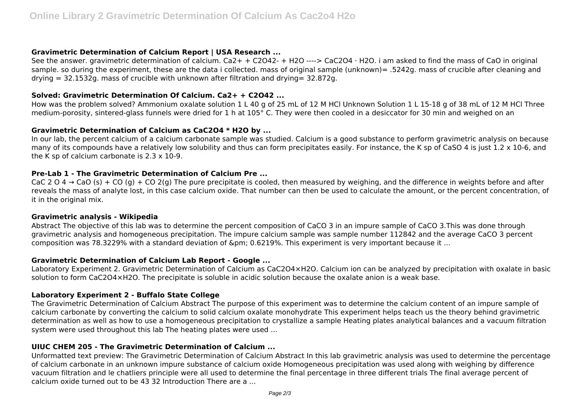## **Gravimetric Determination of Calcium Report | USA Research ...**

See the answer. gravimetric determination of calcium. Ca2+ + C2O42- + H2O ----> CaC2O4 · H2O. i am asked to find the mass of CaO in original sample. so during the experiment, these are the data i collected. mass of original sample (unknown)= .5242g. mass of crucible after cleaning and  $drvina = 32.1532a$ , mass of crucible with unknown after filtration and drying=  $32.872a$ .

## **Solved: Gravimetric Determination Of Calcium. Ca2+ + C2O42 ...**

How was the problem solved? Ammonium oxalate solution 1 L 40 g of 25 mL of 12 M HCl Unknown Solution 1 L 15-18 g of 38 mL of 12 M HCl Three medium-porosity, sintered-glass funnels were dried for 1 h at 105° C. They were then cooled in a desiccator for 30 min and weighed on an

# **Gravimetric Determination of Calcium as CaC2O4 \* H2O by ...**

In our lab, the percent calcium of a calcium carbonate sample was studied. Calcium is a good substance to perform gravimetric analysis on because many of its compounds have a relatively low solubility and thus can form precipitates easily. For instance, the K sp of CaSO 4 is just  $1.2 \times 10^{-6}$ , and the K sp of calcium carbonate is  $2.3 \times 10-9$ .

#### **Pre-Lab 1 - The Gravimetric Determination of Calcium Pre ...**

CaC 2 O 4  $\rightarrow$  CaO (s) + CO (g) + CO 2(g) The pure precipitate is cooled, then measured by weighing, and the difference in weights before and after reveals the mass of analyte lost, in this case calcium oxide. That number can then be used to calculate the amount, or the percent concentration, of it in the original mix.

#### **Gravimetric analysis - Wikipedia**

Abstract The objective of this lab was to determine the percent composition of CaCO 3 in an impure sample of CaCO 3.This was done through gravimetric analysis and homogeneous precipitation. The impure calcium sample was sample number 112842 and the average CaCO 3 percent composition was 78.3229% with a standard deviation of ± 0.6219%. This experiment is very important because it ...

# **Gravimetric Determination of Calcium Lab Report - Google ...**

Laboratory Experiment 2. Gravimetric Determination of Calcium as CaC2O4×H2O. Calcium ion can be analyzed by precipitation with oxalate in basic solution to form CaC2O4×H2O. The precipitate is soluble in acidic solution because the oxalate anion is a weak base.

# **Laboratory Experiment 2 - Buffalo State College**

The Gravimetric Determination of Calcium Abstract The purpose of this experiment was to determine the calcium content of an impure sample of calcium carbonate by converting the calcium to solid calcium oxalate monohydrate This experiment helps teach us the theory behind gravimetric determination as well as how to use a homogeneous precipitation to crystallize a sample Heating plates analytical balances and a vacuum filtration system were used throughout this lab The heating plates were used ...

# **UIUC CHEM 205 - The Gravimetric Determination of Calcium ...**

Unformatted text preview: The Gravimetric Determination of Calcium Abstract In this lab gravimetric analysis was used to determine the percentage of calcium carbonate in an unknown impure substance of calcium oxide Homogeneous precipitation was used along with weighing by difference vacuum filtration and le chatliers principle were all used to determine the final percentage in three different trials The final average percent of calcium oxide turned out to be 43 32 Introduction There are a ...